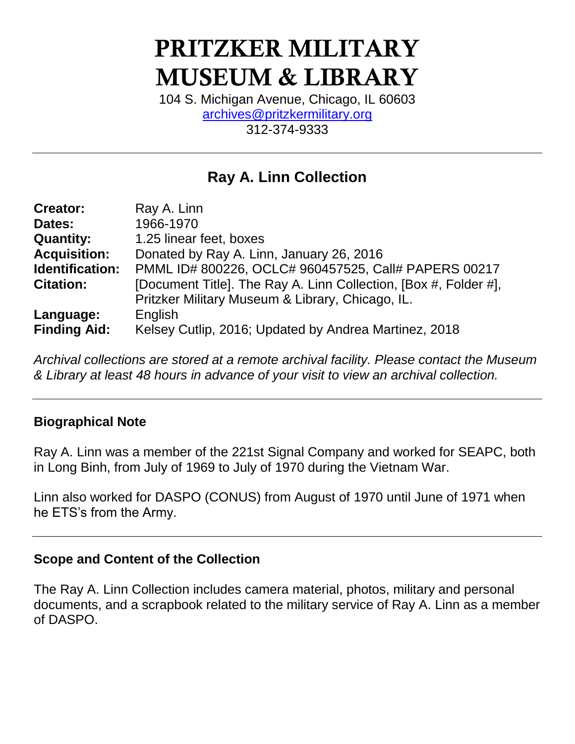# PRITZKER MILITARY MUSEUM & LIBRARY

104 S. Michigan Avenue, Chicago, IL 60603 [archives@pritzkermilitary.org](mailto:archives@pritzkermilitary.org) 312-374-9333

# **Ray A. Linn Collection**

| <b>Creator:</b>     | Ray A. Linn                                                      |
|---------------------|------------------------------------------------------------------|
| Dates:              | 1966-1970                                                        |
| <b>Quantity:</b>    | 1.25 linear feet, boxes                                          |
| <b>Acquisition:</b> | Donated by Ray A. Linn, January 26, 2016                         |
| Identification:     | PMML ID# 800226, OCLC# 960457525, Call# PAPERS 00217             |
| <b>Citation:</b>    | [Document Title]. The Ray A. Linn Collection, [Box #, Folder #], |
|                     | Pritzker Military Museum & Library, Chicago, IL.                 |
| Language:           | English                                                          |
| <b>Finding Aid:</b> | Kelsey Cutlip, 2016; Updated by Andrea Martinez, 2018            |

*Archival collections are stored at a remote archival facility. Please contact the Museum & Library at least 48 hours in advance of your visit to view an archival collection.*

#### **Biographical Note**

Ray A. Linn was a member of the 221st Signal Company and worked for SEAPC, both in Long Binh, from July of 1969 to July of 1970 during the Vietnam War.

Linn also worked for DASPO (CONUS) from August of 1970 until June of 1971 when he ETS's from the Army.

#### **Scope and Content of the Collection**

The Ray A. Linn Collection includes camera material, photos, military and personal documents, and a scrapbook related to the military service of Ray A. Linn as a member of DASPO.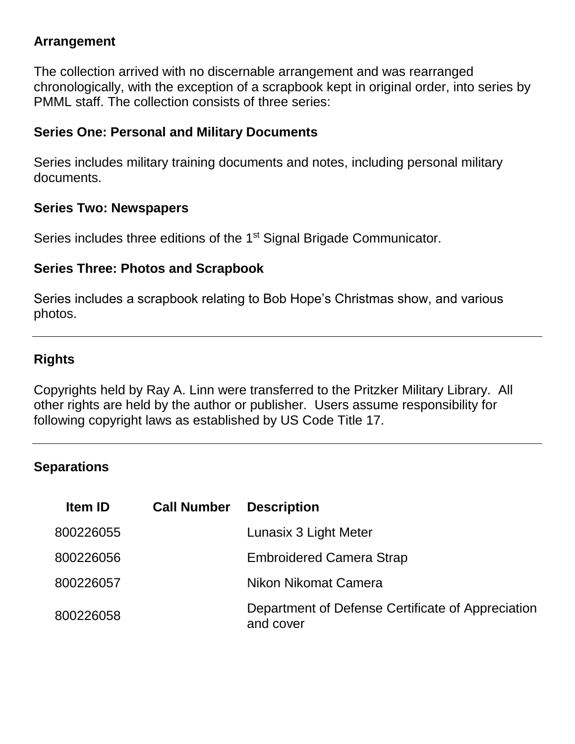#### **Arrangement**

The collection arrived with no discernable arrangement and was rearranged chronologically, with the exception of a scrapbook kept in original order, into series by PMML staff. The collection consists of three series:

#### **Series One: Personal and Military Documents**

Series includes military training documents and notes, including personal military documents.

#### **Series Two: Newspapers**

Series includes three editions of the 1<sup>st</sup> Signal Brigade Communicator.

#### **Series Three: Photos and Scrapbook**

Series includes a scrapbook relating to Bob Hope's Christmas show, and various photos.

#### **Rights**

Copyrights held by Ray A. Linn were transferred to the Pritzker Military Library. All other rights are held by the author or publisher. Users assume responsibility for following copyright laws as established by US Code Title 17.

#### **Separations**

| <b>Item ID</b> | <b>Call Number</b> | <b>Description</b>                                             |
|----------------|--------------------|----------------------------------------------------------------|
| 800226055      |                    | Lunasix 3 Light Meter                                          |
| 800226056      |                    | <b>Embroidered Camera Strap</b>                                |
| 800226057      |                    | Nikon Nikomat Camera                                           |
| 800226058      |                    | Department of Defense Certificate of Appreciation<br>and cover |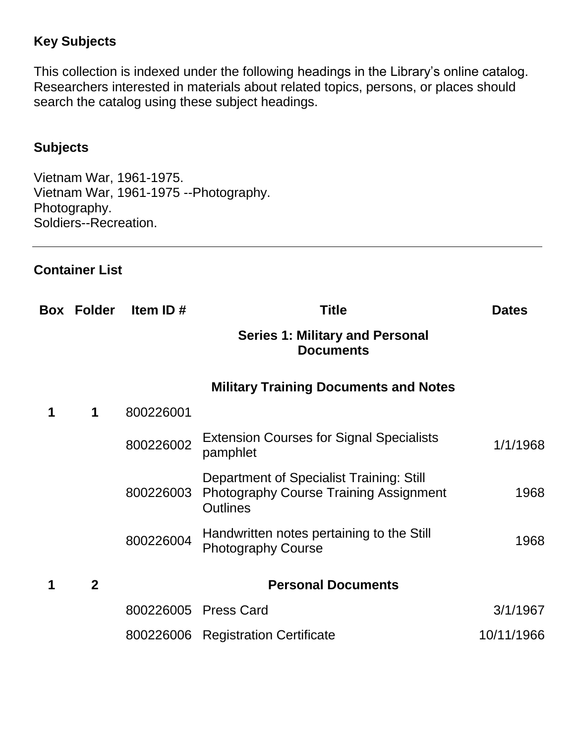#### **Key Subjects**

This collection is indexed under the following headings in the Library's online catalog. Researchers interested in materials about related topics, persons, or places should search the catalog using these subject headings.

#### **Subjects**

Vietnam War, 1961-1975. Vietnam War, 1961-1975 --Photography. Photography. Soldiers--Recreation.

#### **Container List**

|   |              | Box Folder Item ID# | <b>Title</b>                                                                                                 | <b>Dates</b> |
|---|--------------|---------------------|--------------------------------------------------------------------------------------------------------------|--------------|
|   |              |                     | <b>Series 1: Military and Personal</b><br><b>Documents</b>                                                   |              |
|   |              |                     | <b>Military Training Documents and Notes</b>                                                                 |              |
| 1 | 1            | 800226001           |                                                                                                              |              |
|   |              | 800226002           | <b>Extension Courses for Signal Specialists</b><br>pamphlet                                                  | 1/1/1968     |
|   |              | 800226003           | Department of Specialist Training: Still<br><b>Photography Course Training Assignment</b><br><b>Outlines</b> | 1968         |
|   |              | 800226004           | Handwritten notes pertaining to the Still<br><b>Photography Course</b>                                       | 1968         |
| 1 | $\mathbf{2}$ |                     | <b>Personal Documents</b>                                                                                    |              |
|   |              |                     | 800226005 Press Card                                                                                         | 3/1/1967     |
|   |              |                     | 800226006 Registration Certificate                                                                           | 10/11/1966   |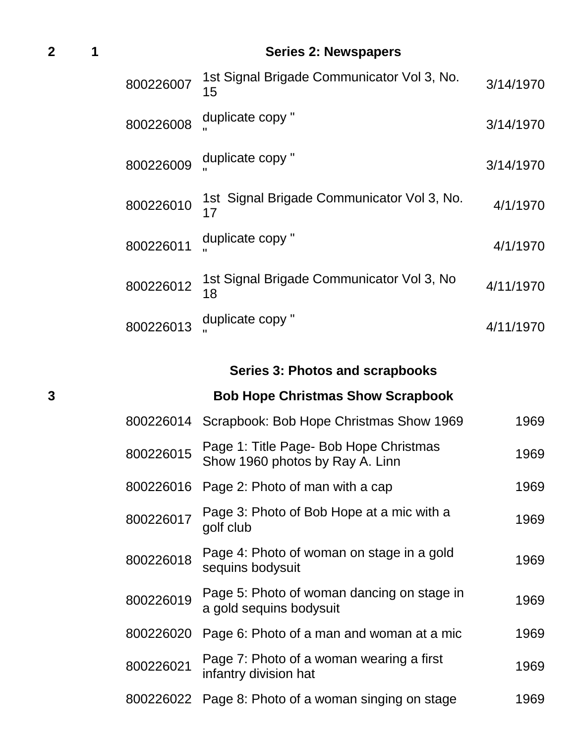# **2 1 Series 2: Newspapers**

| 800226007 | 1st Signal Brigade Communicator Vol 3, No.<br>15 | 3/14/1970 |
|-----------|--------------------------------------------------|-----------|
| 800226008 | duplicate copy "                                 | 3/14/1970 |
| 800226009 | duplicate copy "                                 | 3/14/1970 |
| 800226010 | 1st Signal Brigade Communicator Vol 3, No.<br>17 | 4/1/1970  |
| 800226011 | duplicate copy "                                 | 4/1/1970  |
| 800226012 | 1st Signal Brigade Communicator Vol 3, No<br>18  | 4/11/1970 |
| 800226013 | duplicate copy "                                 | 4/11/1970 |

# **Series 3: Photos and scrapbooks**

# **3 Bob Hope Christmas Show Scrapbook**

| 800226014 | Scrapbook: Bob Hope Christmas Show 1969                                   | 1969 |
|-----------|---------------------------------------------------------------------------|------|
| 800226015 | Page 1: Title Page- Bob Hope Christmas<br>Show 1960 photos by Ray A. Linn | 1969 |
| 800226016 | Page 2: Photo of man with a cap                                           | 1969 |
| 800226017 | Page 3: Photo of Bob Hope at a mic with a<br>golf club                    | 1969 |
| 800226018 | Page 4: Photo of woman on stage in a gold<br>sequins bodysuit             | 1969 |
| 800226019 | Page 5: Photo of woman dancing on stage in<br>a gold sequins bodysuit     | 1969 |
| 800226020 | Page 6: Photo of a man and woman at a mic                                 | 1969 |
| 800226021 | Page 7: Photo of a woman wearing a first<br>infantry division hat         | 1969 |
| 800226022 | Page 8: Photo of a woman singing on stage                                 | 1969 |
|           |                                                                           |      |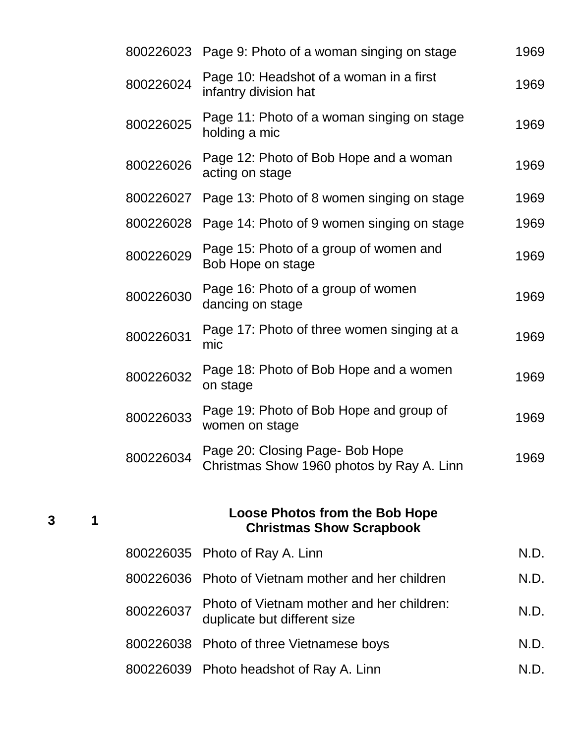| 800226023                                                                | Page 9: Photo of a woman singing on stage                                    | 1969 |  |
|--------------------------------------------------------------------------|------------------------------------------------------------------------------|------|--|
| 800226024                                                                | Page 10: Headshot of a woman in a first<br>infantry division hat             | 1969 |  |
| 800226025                                                                | Page 11: Photo of a woman singing on stage<br>holding a mic                  | 1969 |  |
| 800226026                                                                | Page 12: Photo of Bob Hope and a woman<br>acting on stage                    | 1969 |  |
| 800226027                                                                | Page 13: Photo of 8 women singing on stage                                   | 1969 |  |
| 800226028                                                                | Page 14: Photo of 9 women singing on stage                                   | 1969 |  |
| 800226029                                                                | Page 15: Photo of a group of women and<br>Bob Hope on stage                  | 1969 |  |
| 800226030                                                                | Page 16: Photo of a group of women<br>dancing on stage                       | 1969 |  |
| 800226031                                                                | Page 17: Photo of three women singing at a<br>mic                            | 1969 |  |
| 800226032                                                                | Page 18: Photo of Bob Hope and a women<br>on stage                           | 1969 |  |
| 800226033                                                                | Page 19: Photo of Bob Hope and group of<br>women on stage                    | 1969 |  |
| 800226034                                                                | Page 20: Closing Page- Bob Hope<br>Christmas Show 1960 photos by Ray A. Linn | 1969 |  |
| <b>Loose Photos from the Bob Hope</b><br><b>Christmas Show Scrapbook</b> |                                                                              |      |  |
| 800226035                                                                | Photo of Ray A. Linn                                                         | N.D. |  |
| 800226036                                                                | Photo of Vietnam mother and her children                                     | N.D. |  |
| 800226037                                                                | Photo of Vietnam mother and her children:<br>duplicate but different size    | N.D. |  |
| 800226038                                                                | Photo of three Vietnamese boys                                               | N.D. |  |
| 800226039                                                                | Photo headshot of Ray A. Linn                                                | N.D. |  |

**3 1**